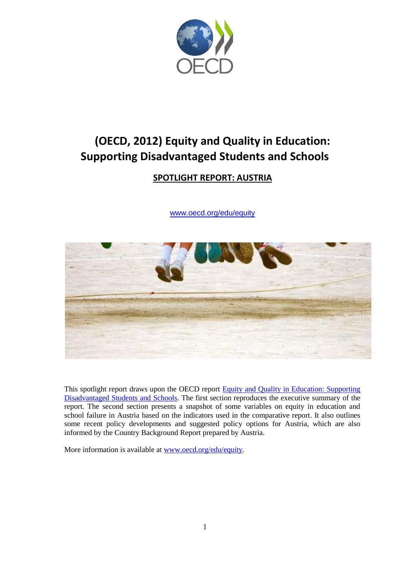

# **(OECD, 2012) Equity and Quality in Education: Supporting Disadvantaged Students and Schools**

# **SPOTLIGHT REPORT: AUSTRIA**

<www.oecd.org/edu/equity>



This spotlight report draws upon the OECD report [Equity and Quality in Education: Supporting](http://www.oecd-ilibrary.org/education/equity-and-quality-in-education_9789264130852-en)  [Disadvantaged Students and Schools.](http://www.oecd-ilibrary.org/education/equity-and-quality-in-education_9789264130852-en) The first section reproduces the executive summary of the report. The second section presents a snapshot of some variables on equity in education and school failure in Austria based on the indicators used in the comparative report. It also outlines some recent policy developments and suggested policy options for Austria, which are also informed by the Country Background Report prepared by Austria.

More information is available at [www.oecd.org/edu/equity.](http://www.oecd.org/edu/equity)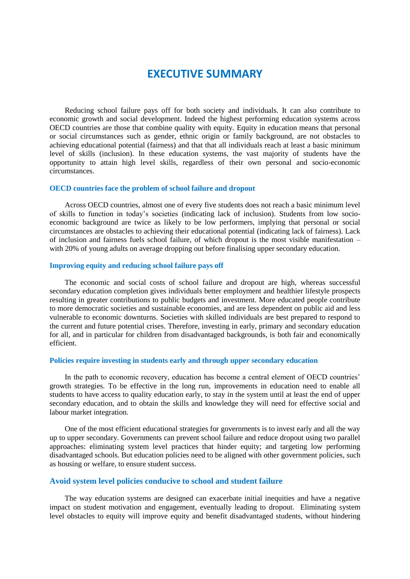# **EXECUTIVE SUMMARY**

Reducing school failure pays off for both society and individuals. It can also contribute to economic growth and social development. Indeed the highest performing education systems across OECD countries are those that combine quality with equity. Equity in education means that personal or social circumstances such as gender, ethnic origin or family background, are not obstacles to achieving educational potential (fairness) and that that all individuals reach at least a basic minimum level of skills (inclusion). In these education systems, the vast majority of students have the opportunity to attain high level skills, regardless of their own personal and socio-economic circumstances.

#### **OECD countries face the problem of school failure and dropout**

Across OECD countries, almost one of every five students does not reach a basic minimum level of skills to function in today's societies (indicating lack of inclusion). Students from low socioeconomic background are twice as likely to be low performers, implying that personal or social circumstances are obstacles to achieving their educational potential (indicating lack of fairness). Lack of inclusion and fairness fuels school failure, of which dropout is the most visible manifestation – with 20% of young adults on average dropping out before finalising upper secondary education.

#### **Improving equity and reducing school failure pays off**

The economic and social costs of school failure and dropout are high, whereas successful secondary education completion gives individuals better employment and healthier lifestyle prospects resulting in greater contributions to public budgets and investment. More educated people contribute to more democratic societies and sustainable economies, and are less dependent on public aid and less vulnerable to economic downturns. Societies with skilled individuals are best prepared to respond to the current and future potential crises. Therefore, investing in early, primary and secondary education for all, and in particular for children from disadvantaged backgrounds, is both fair and economically efficient.

#### **Policies require investing in students early and through upper secondary education**

In the path to economic recovery, education has become a central element of OECD countries' growth strategies. To be effective in the long run, improvements in education need to enable all students to have access to quality education early, to stay in the system until at least the end of upper secondary education, and to obtain the skills and knowledge they will need for effective social and labour market integration.

One of the most efficient educational strategies for governments is to invest early and all the way up to upper secondary. Governments can prevent school failure and reduce dropout using two parallel approaches: eliminating system level practices that hinder equity; and targeting low performing disadvantaged schools. But education policies need to be aligned with other government policies, such as housing or welfare, to ensure student success.

#### **Avoid system level policies conducive to school and student failure**

The way education systems are designed can exacerbate initial inequities and have a negative impact on student motivation and engagement, eventually leading to dropout. Eliminating system level obstacles to equity will improve equity and benefit disadvantaged students, without hindering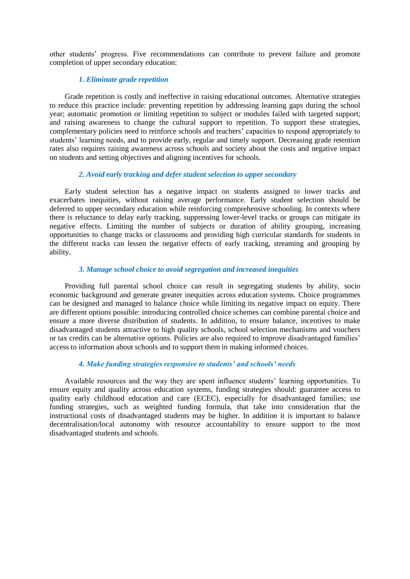other students' progress. Five recommendations can contribute to prevent failure and promote completion of upper secondary education:

### *1. Eliminate grade repetition*

Grade repetition is costly and ineffective in raising educational outcomes. Alternative strategies to reduce this practice include: preventing repetition by addressing learning gaps during the school year; automatic promotion or limiting repetition to subject or modules failed with targeted support; and raising awareness to change the cultural support to repetition. To support these strategies, complementary policies need to reinforce schools and teachers' capacities to respond appropriately to students' learning needs, and to provide early, regular and timely support. Decreasing grade retention rates also requires raising awareness across schools and society about the costs and negative impact on students and setting objectives and aligning incentives for schools.

### *2. Avoid early tracking and defer student selection to upper secondary*

Early student selection has a negative impact on students assigned to lower tracks and exacerbates inequities, without raising average performance. Early student selection should be deferred to upper secondary education while reinforcing comprehensive schooling. In contexts where there is reluctance to delay early tracking, suppressing lower-level tracks or groups can mitigate its negative effects. Limiting the number of subjects or duration of ability grouping, increasing opportunities to change tracks or classrooms and providing high curricular standards for students in the different tracks can lessen the negative effects of early tracking, streaming and grouping by ability.

### *3. Manage school choice to avoid segregation and increased inequities*

Providing full parental school choice can result in segregating students by ability, socio economic background and generate greater inequities across education systems. Choice programmes can be designed and managed to balance choice while limiting its negative impact on equity. There are different options possible: introducing controlled choice schemes can combine parental choice and ensure a more diverse distribution of students. In addition, to ensure balance, incentives to make disadvantaged students attractive to high quality schools, school selection mechanisms and vouchers or tax credits can be alternative options. Policies are also required to improve disadvantaged families' access to information about schools and to support them in making informed choices.

#### *4. Make funding strategies responsive to students' and schools' needs*

Available resources and the way they are spent influence students' learning opportunities. To ensure equity and quality across education systems, funding strategies should: guarantee access to quality early childhood education and care (ECEC), especially for disadvantaged families; use funding strategies, such as weighted funding formula, that take into consideration that the instructional costs of disadvantaged students may be higher. In addition it is important to balance decentralisation/local autonomy with resource accountability to ensure support to the most disadvantaged students and schools.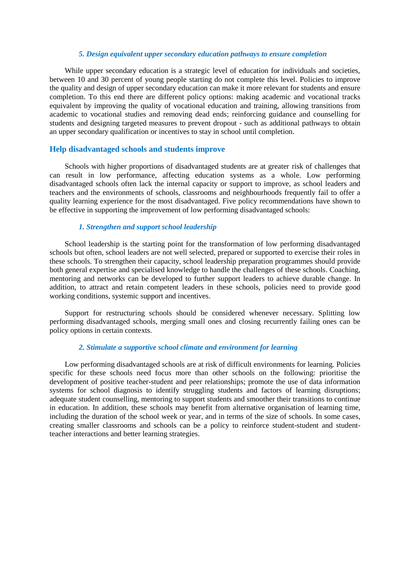#### *5. Design equivalent upper secondary education pathways to ensure completion*

While upper secondary education is a strategic level of education for individuals and societies, between 10 and 30 percent of young people starting do not complete this level. Policies to improve the quality and design of upper secondary education can make it more relevant for students and ensure completion. To this end there are different policy options: making academic and vocational tracks equivalent by improving the quality of vocational education and training, allowing transitions from academic to vocational studies and removing dead ends; reinforcing guidance and counselling for students and designing targeted measures to prevent dropout - such as additional pathways to obtain an upper secondary qualification or incentives to stay in school until completion.

#### **Help disadvantaged schools and students improve**

Schools with higher proportions of disadvantaged students are at greater risk of challenges that can result in low performance, affecting education systems as a whole. Low performing disadvantaged schools often lack the internal capacity or support to improve, as school leaders and teachers and the environments of schools, classrooms and neighbourhoods frequently fail to offer a quality learning experience for the most disadvantaged. Five policy recommendations have shown to be effective in supporting the improvement of low performing disadvantaged schools:

#### *1. Strengthen and support school leadership*

School leadership is the starting point for the transformation of low performing disadvantaged schools but often, school leaders are not well selected, prepared or supported to exercise their roles in these schools. To strengthen their capacity, school leadership preparation programmes should provide both general expertise and specialised knowledge to handle the challenges of these schools. Coaching, mentoring and networks can be developed to further support leaders to achieve durable change. In addition, to attract and retain competent leaders in these schools, policies need to provide good working conditions, systemic support and incentives.

Support for restructuring schools should be considered whenever necessary. Splitting low performing disadvantaged schools, merging small ones and closing recurrently failing ones can be policy options in certain contexts.

#### *2. Stimulate a supportive school climate and environment for learning*

Low performing disadvantaged schools are at risk of difficult environments for learning. Policies specific for these schools need focus more than other schools on the following: prioritise the development of positive teacher-student and peer relationships; promote the use of data information systems for school diagnosis to identify struggling students and factors of learning disruptions; adequate student counselling, mentoring to support students and smoother their transitions to continue in education. In addition, these schools may benefit from alternative organisation of learning time, including the duration of the school week or year, and in terms of the size of schools. In some cases, creating smaller classrooms and schools can be a policy to reinforce student-student and studentteacher interactions and better learning strategies.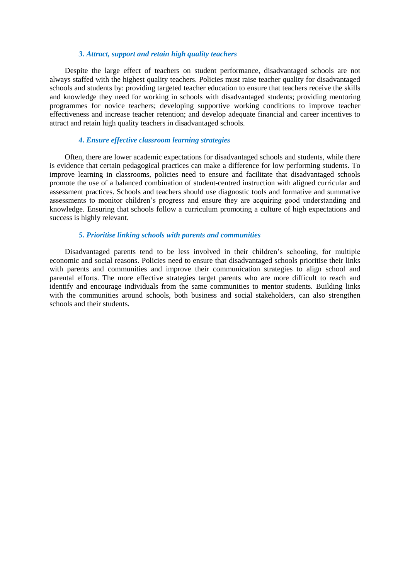#### *3. Attract, support and retain high quality teachers*

Despite the large effect of teachers on student performance, disadvantaged schools are not always staffed with the highest quality teachers. Policies must raise teacher quality for disadvantaged schools and students by: providing targeted teacher education to ensure that teachers receive the skills and knowledge they need for working in schools with disadvantaged students; providing mentoring programmes for novice teachers; developing supportive working conditions to improve teacher effectiveness and increase teacher retention; and develop adequate financial and career incentives to attract and retain high quality teachers in disadvantaged schools.

#### *4. Ensure effective classroom learning strategies*

Often, there are lower academic expectations for disadvantaged schools and students, while there is evidence that certain pedagogical practices can make a difference for low performing students. To improve learning in classrooms, policies need to ensure and facilitate that disadvantaged schools promote the use of a balanced combination of student-centred instruction with aligned curricular and assessment practices. Schools and teachers should use diagnostic tools and formative and summative assessments to monitor children's progress and ensure they are acquiring good understanding and knowledge. Ensuring that schools follow a curriculum promoting a culture of high expectations and success is highly relevant.

#### *5. Prioritise linking schools with parents and communities*

Disadvantaged parents tend to be less involved in their children's schooling, for multiple economic and social reasons. Policies need to ensure that disadvantaged schools prioritise their links with parents and communities and improve their communication strategies to align school and parental efforts. The more effective strategies target parents who are more difficult to reach and identify and encourage individuals from the same communities to mentor students. Building links with the communities around schools, both business and social stakeholders, can also strengthen schools and their students.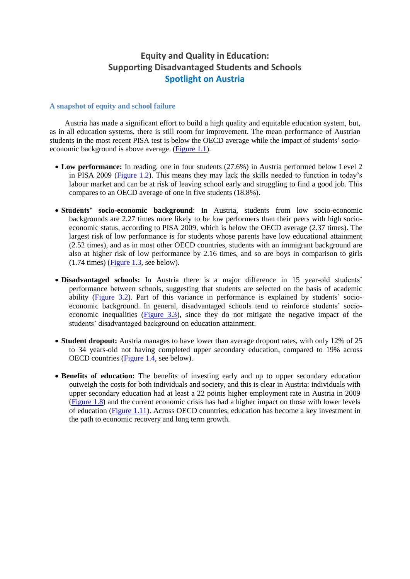# **Equity and Quality in Education: Supporting Disadvantaged Students and Schools Spotlight on Austria**

#### **A snapshot of equity and school failure**

Austria has made a significant effort to build a high quality and equitable education system, but, as in all education systems, there is still room for improvement. The mean performance of Austrian students in the most recent PISA test is below the OECD average while the impact of students' socioeconomic background is above average. [\(Figure 1.1\)](http://dx.doi.org/10.1787/888932560816).

- **Low performance:** In reading, one in four students (27.6%) in Austria performed below Level 2 in PISA 2009 [\(Figure 1.2\)](http://dx.doi.org/10.1787/888932560835). This means they may lack the skills needed to function in today's labour market and can be at risk of leaving school early and struggling to find a good job. This compares to an OECD average of one in five students (18.8%).
- **Students' socio-economic background**: In Austria, students from low socio-economic backgrounds are 2.27 times more likely to be low performers than their peers with high socioeconomic status, according to PISA 2009, which is below the OECD average (2.37 times). The largest risk of low performance is for students whose parents have low educational attainment (2.52 times), and as in most other OECD countries, students with an immigrant background are also at higher risk of low performance by 2.16 times, and so are boys in comparison to girls (1.74 times) [\(Figure 1.3,](http://dx.doi.org/10.1787/888932560854) see below).
- **Disadvantaged schools:** In Austria there is a major difference in 15 year-old students' performance between schools, suggesting that students are selected on the basis of academic ability [\(Figure 3.2\)](http://dx.doi.org/10.1787/888932561101). Part of this variance in performance is explained by students' socioeconomic background. In general, disadvantaged schools tend to reinforce students' socioeconomic inequalities [\(Figure 3.3\)](http://dx.doi.org/10.1787/888932561120), since they do not mitigate the negative impact of the students' disadvantaged background on education attainment.
- **Student dropout:** Austria manages to have lower than average dropout rates, with only 12% of 25 to 34 years-old not having completed upper secondary education, compared to 19% across OECD countries [\(Figure 1.4,](http://dx.doi.org/10.1787/888932560873) see below).
- **Benefits of education:** The benefits of investing early and up to upper secondary education outweigh the costs for both individuals and society, and this is clear in Austria: individuals with upper secondary education had at least a 22 points higher employment rate in Austria in 2009 [\(Figure](http://dx.doi.org/10.1787/888932560930) 1.8) and the current economic crisis has had a higher impact on those with lower levels of education [\(Figure 1.11\)](http://dx.doi.org/10.1787/888932560987). Across OECD countries, education has become a key investment in the path to economic recovery and long term growth.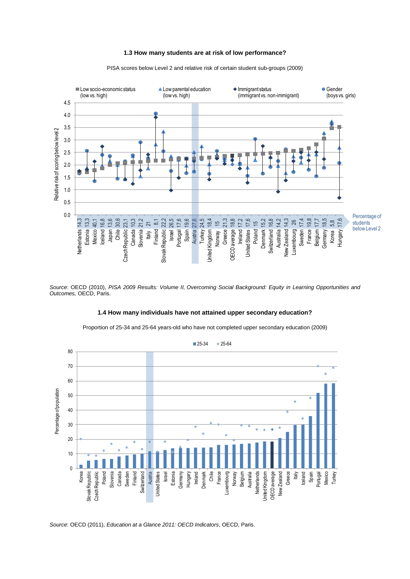#### **1.3 How many students are at risk of low performance?**



PISA scores below Level 2 and relative risk of certain student sub-groups (2009)

*Source*: OECD (2010), *PISA 2009 Results: Volume II, [Overcoming Social Background: Equity in Learning Opportunities and](http://www.oecd.org/document/24/0,3746,en_32252351_46584327_46609752_1_1_1_1,00.html)  [Outcomes,](http://www.oecd.org/document/24/0,3746,en_32252351_46584327_46609752_1_1_1_1,00.html)* OECD, Paris.

#### **1.4 How many individuals have not attained upper secondary education?**



Proportion of 25-34 and 25-64 years-old who have not completed upper secondary education (2009)

*Source*: OECD (2011), *Education at a Glance 2011: OECD Indicators*, OECD, Paris.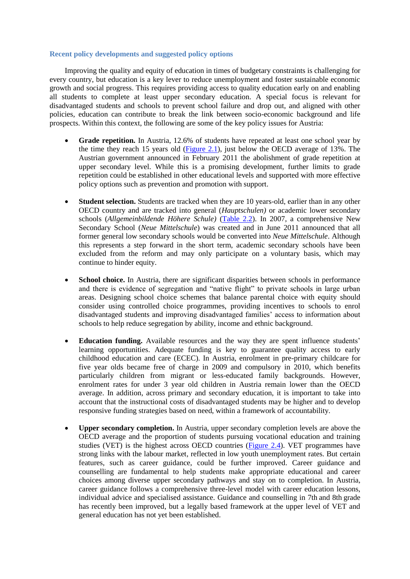#### **Recent policy developments and suggested policy options**

Improving the quality and equity of education in times of budgetary constraints is challenging for every country, but education is a key lever to reduce unemployment and foster sustainable economic growth and social progress. This requires providing access to quality education early on and enabling all students to complete at least upper secondary education. A special focus is relevant for disadvantaged students and schools to prevent school failure and drop out, and aligned with other policies, education can contribute to break the link between socio-economic background and life prospects. Within this context, the following are some of the key policy issues for Austria:

- **Grade repetition.** In Austria, 12.6% of students have repeated at least one school year by the time they reach 15 years old [\(Figure 2.1\)](http://dx.doi.org/10.1787/888932561006), just below the OECD average of 13%. The Austrian government announced in February 2011 the abolishment of grade repetition at upper secondary level. While this is a promising development, further limits to grade repetition could be established in other educational levels and supported with more effective policy options such as prevention and promotion with support.
- **Student selection.** Students are tracked when they are 10 years-old, earlier than in any other OECD country and are tracked into general (*Hauptschulen)* or academic lower secondary schools (*Allgemeinbildende Höhere Schule)* [\(Table 2.2\)](http://dx.doi.org/10.1787/888932561196). In 2007, a comprehensive New Secondary School (*Neue Mittelschule*) was created and in June 2011 announced that all former general low secondary schools would be converted into *Neue Mittelschule*. Although this represents a step forward in the short term, academic secondary schools have been excluded from the reform and may only participate on a voluntary basis, which may continue to hinder equity.
- **School choice.** In Austria, there are significant disparities between schools in performance and there is evidence of segregation and "native flight" to private schools in large urban areas. Designing school choice schemes that balance parental choice with equity should consider using controlled choice programmes, providing incentives to schools to enrol disadvantaged students and improving disadvantaged families' access to information about schools to help reduce segregation by ability, income and ethnic background.
- **Education funding.** Available resources and the way they are spent influence students' learning opportunities. Adequate funding is key to guarantee quality access to early childhood education and care (ECEC). In Austria, enrolment in pre-primary childcare for five year olds became free of charge in 2009 and compulsory in 2010, which benefits particularly children from migrant or less-educated family backgrounds. However, enrolment rates for under 3 year old children in Austria remain lower than the OECD average. In addition, across primary and secondary education, it is important to take into account that the instructional costs of disadvantaged students may be higher and to develop responsive funding strategies based on need, within a framework of accountability.
- **Upper secondary completion.** In Austria, upper secondary completion levels are above the OECD average and the proportion of students pursuing vocational education and training studies (VET) is the highest across OECD countries [\(Figure 2.4\)](http://dx.doi.org/10.1787/888932561063). VET programmes have strong links with the labour market, reflected in low youth unemployment rates. But certain features, such as career guidance, could be further improved. Career guidance and counselling are fundamental to help students make appropriate educational and career choices among diverse upper secondary pathways and stay on to completion. In Austria, career guidance follows a comprehensive three-level model with career education lessons, individual advice and specialised assistance. Guidance and counselling in 7th and 8th grade has recently been improved, but a legally based framework at the upper level of VET and general education has not yet been established.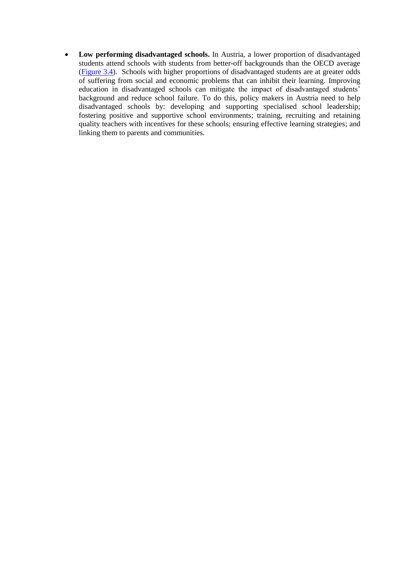**Low performing disadvantaged schools.** In Austria, a lower proportion of disadvantaged students attend schools with students from better-off backgrounds than the OECD average [\(Figure 3.4\)](http://dx.doi.org/10.1787/888932561139). Schools with higher proportions of disadvantaged students are at greater odds of suffering from social and economic problems that can inhibit their learning. Improving education in disadvantaged schools can mitigate the impact of disadvantaged students' background and reduce school failure. To do this, policy makers in Austria need to help disadvantaged schools by: developing and supporting specialised school leadership; fostering positive and supportive school environments; training, recruiting and retaining quality teachers with incentives for these schools; ensuring effective learning strategies; and linking them to parents and communities.